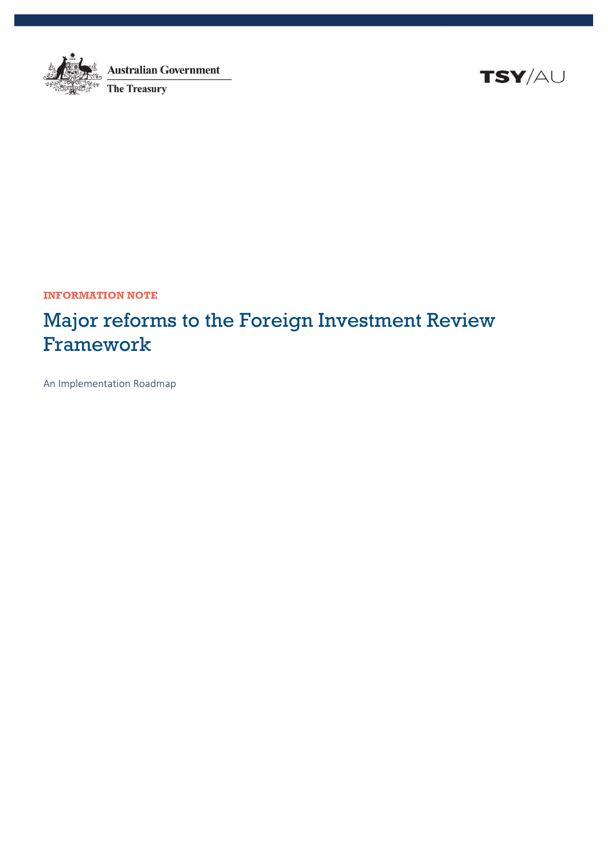

**Australian Government The Treasury** 

**TSY/AU** 

**INFORMATION NOTE**

# Major reforms to the Foreign Investment Review Framework

An Implementation Roadmap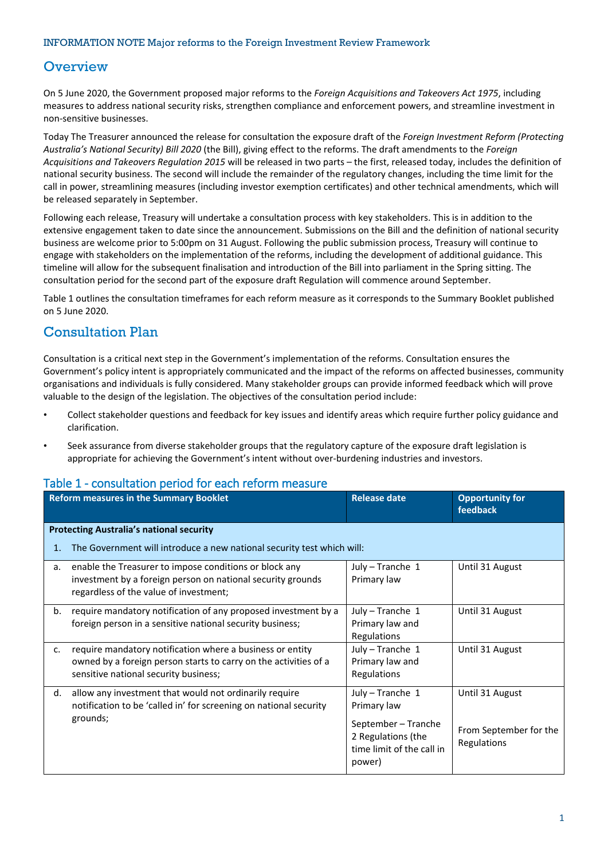#### **Overview**

On 5 June 2020, the Government proposed major reforms to the *Foreign Acquisitions and Takeovers Act 1975*, including measures to address national security risks, strengthen compliance and enforcement powers, and streamline investment in non-sensitive businesses.

Today The Treasurer announced the release for consultation the exposure draft of the *Foreign Investment Reform (Protecting Australia's National Security) Bill 2020* (the Bill), giving effect to the reforms. The draft amendments to the *Foreign Acquisitions and Takeovers Regulation 2015* will be released in two parts – the first, released today, includes the definition of national security business. The second will include the remainder of the regulatory changes, including the time limit for the call in power, streamlining measures (including investor exemption certificates) and other technical amendments, which will be released separately in September.

Following each release, Treasury will undertake a consultation process with key stakeholders. This is in addition to the extensive engagement taken to date since the announcement. Submissions on the Bill and the definition of national security business are welcome prior to 5:00pm on 31 August. Following the public submission process. Treasury will continue to engage with stakeholders on the implementation of the reforms, including the development of additional guidance. This timeline will allow for the subsequent finalisation and introduction of the Bill into parliament in the Spring sitting. The consultation period for the second part of the exposure draft Regulation will commence around September.

Table 1 outlines the consultation timeframes for each reform measure as it corresponds to the Summary Booklet published on 5 June 2020.

## Consultation Plan

Consultation is a critical next step in the Government's implementation of the reforms. Consultation ensures the Government's policy intent is appropriately communicated and the impact of the reforms on affected businesses, community organisations and individuals is fully considered. Many stakeholder groups can provide informed feedback which will prove valuable to the design of the legislation. The objectives of the consultation period include:

- Collect stakeholder questions and feedback for key issues and identify areas which require further policy guidance and clarification.
- Seek assurance from diverse stakeholder groups that the regulatory capture of the exposure draft legislation is appropriate for achieving the Government's intent without over-burdening industries and investors.

|                                                 | <b>Concertation</b> portod for capit reform meas<br><b>Reform measures in the Summary Booklet</b>                                                                      | <b>Release date</b>                                                                                                 | <b>Opportunity for</b><br>feedback                       |  |  |
|-------------------------------------------------|------------------------------------------------------------------------------------------------------------------------------------------------------------------------|---------------------------------------------------------------------------------------------------------------------|----------------------------------------------------------|--|--|
| <b>Protecting Australia's national security</b> |                                                                                                                                                                        |                                                                                                                     |                                                          |  |  |
| 1.                                              | The Government will introduce a new national security test which will:                                                                                                 |                                                                                                                     |                                                          |  |  |
| а.                                              | enable the Treasurer to impose conditions or block any<br>investment by a foreign person on national security grounds<br>regardless of the value of investment;        | July - Tranche 1<br>Primary law                                                                                     | Until 31 August                                          |  |  |
| b.                                              | require mandatory notification of any proposed investment by a<br>foreign person in a sensitive national security business;                                            | July - Tranche 1<br>Primary law and<br>Regulations                                                                  | Until 31 August                                          |  |  |
| c.                                              | require mandatory notification where a business or entity<br>owned by a foreign person starts to carry on the activities of a<br>sensitive national security business; | July - Tranche 1<br>Primary law and<br>Regulations                                                                  | Until 31 August                                          |  |  |
| d.                                              | allow any investment that would not ordinarily require<br>notification to be 'called in' for screening on national security<br>grounds;                                | July - Tranche 1<br>Primary law<br>September - Tranche<br>2 Regulations (the<br>time limit of the call in<br>power) | Until 31 August<br>From September for the<br>Regulations |  |  |

#### Table 1 - consultation period for each reform measure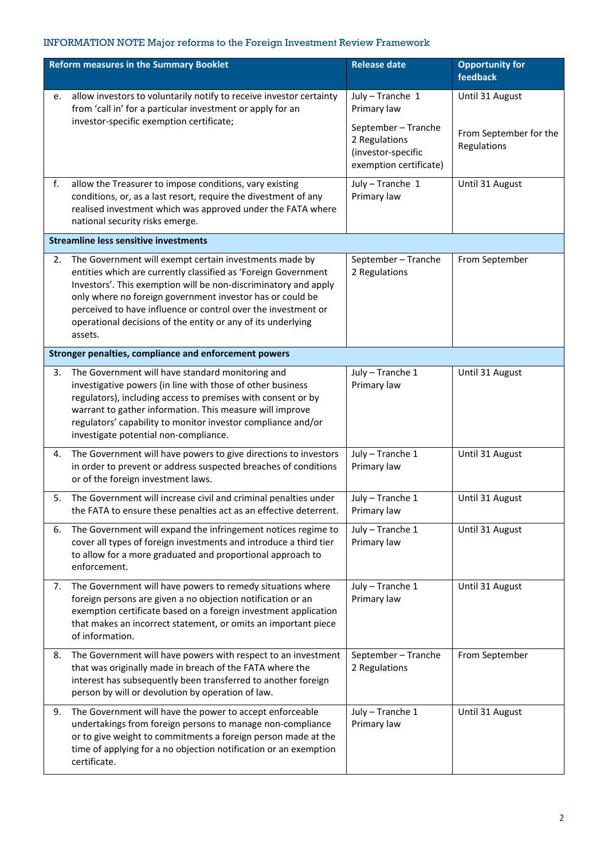| <b>Reform measures in the Summary Booklet</b> |                                                                                                                                                                                                                                                                                                                                                                                                      | <b>Release date</b>                                                     | <b>Opportunity for</b><br>feedback                       |
|-----------------------------------------------|------------------------------------------------------------------------------------------------------------------------------------------------------------------------------------------------------------------------------------------------------------------------------------------------------------------------------------------------------------------------------------------------------|-------------------------------------------------------------------------|----------------------------------------------------------|
| e.                                            | allow investors to voluntarily notify to receive investor certainty<br>from 'call in' for a particular investment or apply for an<br>investor-specific exemption certificate;                                                                                                                                                                                                                        | July - Tranche 1<br>Primary law<br>September - Tranche<br>2 Regulations | Until 31 August<br>From September for the<br>Regulations |
|                                               |                                                                                                                                                                                                                                                                                                                                                                                                      | (investor-specific<br>exemption certificate)                            |                                                          |
| f.                                            | allow the Treasurer to impose conditions, vary existing<br>conditions, or, as a last resort, require the divestment of any<br>realised investment which was approved under the FATA where<br>national security risks emerge.                                                                                                                                                                         | July - Tranche 1<br>Primary law                                         | Until 31 August                                          |
|                                               | <b>Streamline less sensitive investments</b>                                                                                                                                                                                                                                                                                                                                                         |                                                                         |                                                          |
| 2.                                            | The Government will exempt certain investments made by<br>entities which are currently classified as 'Foreign Government<br>Investors'. This exemption will be non-discriminatory and apply<br>only where no foreign government investor has or could be<br>perceived to have influence or control over the investment or<br>operational decisions of the entity or any of its underlying<br>assets. | September - Tranche<br>2 Regulations                                    | From September                                           |
|                                               | Stronger penalties, compliance and enforcement powers                                                                                                                                                                                                                                                                                                                                                |                                                                         |                                                          |
| 3.                                            | The Government will have standard monitoring and<br>investigative powers (in line with those of other business<br>regulators), including access to premises with consent or by<br>warrant to gather information. This measure will improve<br>regulators' capability to monitor investor compliance and/or<br>investigate potential non-compliance.                                                  | July - Tranche 1<br>Primary law                                         | Until 31 August                                          |
| 4.                                            | The Government will have powers to give directions to investors<br>in order to prevent or address suspected breaches of conditions<br>or of the foreign investment laws.                                                                                                                                                                                                                             | July - Tranche 1<br>Primary law                                         | Until 31 August                                          |
| 5.                                            | The Government will increase civil and criminal penalties under<br>the FATA to ensure these penalties act as an effective deterrent.                                                                                                                                                                                                                                                                 | July - Tranche 1<br>Primary law                                         | Until 31 August                                          |
| 6.                                            | The Government will expand the infringement notices regime to<br>cover all types of foreign investments and introduce a third tier<br>to allow for a more graduated and proportional approach to<br>enforcement.                                                                                                                                                                                     | July - Tranche 1<br>Primary law                                         | Until 31 August                                          |
| 7.                                            | The Government will have powers to remedy situations where<br>foreign persons are given a no objection notification or an<br>exemption certificate based on a foreign investment application<br>that makes an incorrect statement, or omits an important piece<br>of information.                                                                                                                    | July - Tranche 1<br>Primary law                                         | Until 31 August                                          |
| 8.                                            | The Government will have powers with respect to an investment<br>that was originally made in breach of the FATA where the<br>interest has subsequently been transferred to another foreign<br>person by will or devolution by operation of law.                                                                                                                                                      | September - Tranche<br>2 Regulations                                    | From September                                           |
| 9.                                            | The Government will have the power to accept enforceable<br>undertakings from foreign persons to manage non-compliance<br>or to give weight to commitments a foreign person made at the<br>time of applying for a no objection notification or an exemption<br>certificate.                                                                                                                          | July - Tranche 1<br>Primary law                                         | Until 31 August                                          |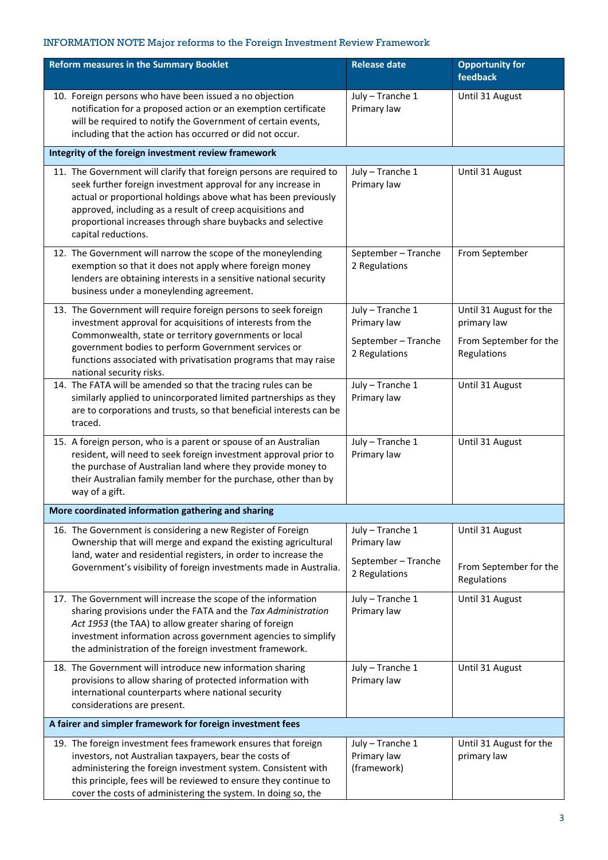| <b>Reform measures in the Summary Booklet</b>                                                                                                                                                                                                                                                                                                             | <b>Release date</b>                                                     | <b>Opportunity for</b><br>feedback                                              |  |
|-----------------------------------------------------------------------------------------------------------------------------------------------------------------------------------------------------------------------------------------------------------------------------------------------------------------------------------------------------------|-------------------------------------------------------------------------|---------------------------------------------------------------------------------|--|
| 10. Foreign persons who have been issued a no objection<br>notification for a proposed action or an exemption certificate<br>will be required to notify the Government of certain events,<br>including that the action has occurred or did not occur.                                                                                                     | July - Tranche 1<br>Primary law                                         | Until 31 August                                                                 |  |
| Integrity of the foreign investment review framework                                                                                                                                                                                                                                                                                                      |                                                                         |                                                                                 |  |
| 11. The Government will clarify that foreign persons are required to<br>seek further foreign investment approval for any increase in<br>actual or proportional holdings above what has been previously<br>approved, including as a result of creep acquisitions and<br>proportional increases through share buybacks and selective<br>capital reductions. | July - Tranche 1<br>Primary law                                         | Until 31 August                                                                 |  |
| 12. The Government will narrow the scope of the moneylending<br>exemption so that it does not apply where foreign money<br>lenders are obtaining interests in a sensitive national security<br>business under a moneylending agreement.                                                                                                                   | September - Tranche<br>2 Regulations                                    | From September                                                                  |  |
| 13. The Government will require foreign persons to seek foreign<br>investment approval for acquisitions of interests from the<br>Commonwealth, state or territory governments or local<br>government bodies to perform Government services or<br>functions associated with privatisation programs that may raise<br>national security risks.              | July - Tranche 1<br>Primary law<br>September - Tranche<br>2 Regulations | Until 31 August for the<br>primary law<br>From September for the<br>Regulations |  |
| 14. The FATA will be amended so that the tracing rules can be<br>similarly applied to unincorporated limited partnerships as they<br>are to corporations and trusts, so that beneficial interests can be<br>traced.                                                                                                                                       | July - Tranche 1<br>Primary law                                         | Until 31 August                                                                 |  |
| 15. A foreign person, who is a parent or spouse of an Australian<br>resident, will need to seek foreign investment approval prior to<br>the purchase of Australian land where they provide money to<br>their Australian family member for the purchase, other than by<br>way of a gift.                                                                   | July - Tranche 1<br>Primary law                                         | Until 31 August                                                                 |  |
| More coordinated information gathering and sharing                                                                                                                                                                                                                                                                                                        |                                                                         |                                                                                 |  |
| 16. The Government is considering a new Register of Foreign<br>Ownership that will merge and expand the existing agricultural<br>land, water and residential registers, in order to increase the<br>Government's visibility of foreign investments made in Australia.                                                                                     | July - Tranche 1<br>Primary law<br>September - Tranche<br>2 Regulations | Until 31 August<br>From September for the<br>Regulations                        |  |
| 17. The Government will increase the scope of the information<br>sharing provisions under the FATA and the Tax Administration<br>Act 1953 (the TAA) to allow greater sharing of foreign<br>investment information across government agencies to simplify<br>the administration of the foreign investment framework.                                       | July - Tranche 1<br>Primary law                                         | Until 31 August                                                                 |  |
| 18. The Government will introduce new information sharing<br>provisions to allow sharing of protected information with<br>international counterparts where national security<br>considerations are present.                                                                                                                                               | July - Tranche 1<br>Primary law                                         | Until 31 August                                                                 |  |
| A fairer and simpler framework for foreign investment fees                                                                                                                                                                                                                                                                                                |                                                                         |                                                                                 |  |
| 19. The foreign investment fees framework ensures that foreign<br>investors, not Australian taxpayers, bear the costs of<br>administering the foreign investment system. Consistent with<br>this principle, fees will be reviewed to ensure they continue to<br>cover the costs of administering the system. In doing so, the                             | July - Tranche 1<br>Primary law<br>(framework)                          | Until 31 August for the<br>primary law                                          |  |